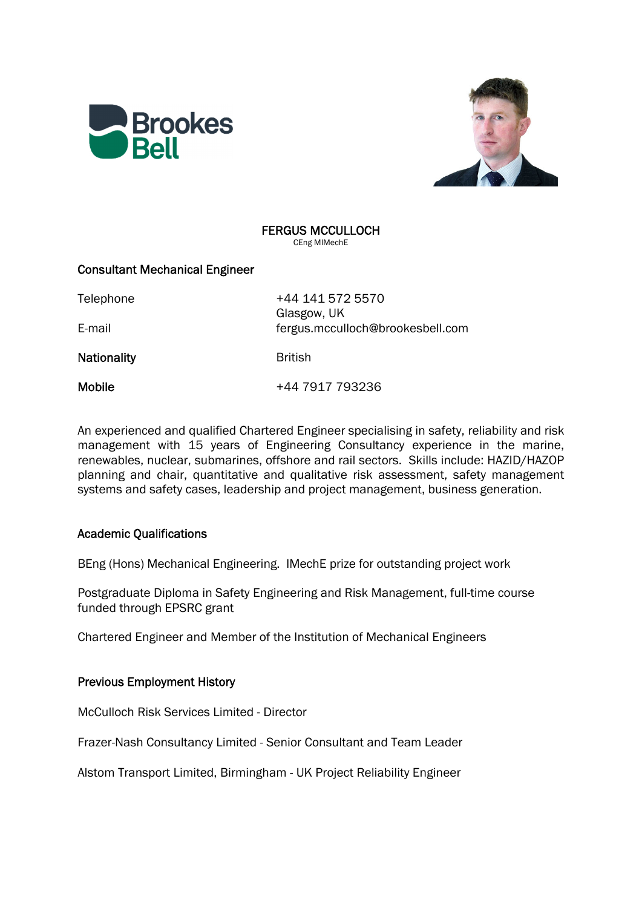



### FERGUS MCCULLOCH CEng MIMechE

## Consultant Mechanical Engineer

Telephone +44 141 572 5570 Glasgow, UK E-mail fergus.mcculloch@brookesbell.com

Nationality **British** 

Mobile +44 7917 793236

An experienced and qualified Chartered Engineer specialising in safety, reliability and risk management with 15 years of Engineering Consultancy experience in the marine, renewables, nuclear, submarines, offshore and rail sectors. Skills include: HAZID/HAZOP planning and chair, quantitative and qualitative risk assessment, safety management systems and safety cases, leadership and project management, business generation.

# Academic Qualifications

BEng (Hons) Mechanical Engineering. IMechE prize for outstanding project work

Postgraduate Diploma in Safety Engineering and Risk Management, full-time course funded through EPSRC grant

Chartered Engineer and Member of the Institution of Mechanical Engineers

# Previous Employment History

McCulloch Risk Services Limited - Director

Frazer-Nash Consultancy Limited - Senior Consultant and Team Leader

Alstom Transport Limited, Birmingham - UK Project Reliability Engineer